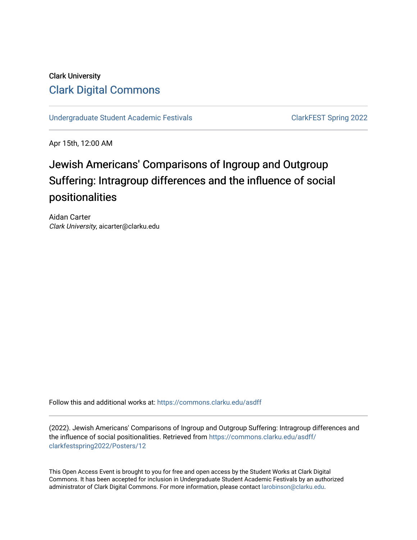## Clark University [Clark Digital Commons](https://commons.clarku.edu/)

[Undergraduate Student Academic Festivals](https://commons.clarku.edu/asdff) ClarkFEST Spring 2022

Apr 15th, 12:00 AM

# Jewish Americans' Comparisons of Ingroup and Outgroup Suffering: Intragroup differences and the influence of social positionalities

Aidan Carter Clark University, aicarter@clarku.edu

Follow this and additional works at: [https://commons.clarku.edu/asdff](https://commons.clarku.edu/asdff?utm_source=commons.clarku.edu%2Fasdff%2Fclarkfestspring2022%2FPosters%2F12&utm_medium=PDF&utm_campaign=PDFCoverPages)

(2022). Jewish Americans' Comparisons of Ingroup and Outgroup Suffering: Intragroup differences and the influence of social positionalities. Retrieved from [https://commons.clarku.edu/asdff/](https://commons.clarku.edu/asdff/clarkfestspring2022/Posters/12?utm_source=commons.clarku.edu%2Fasdff%2Fclarkfestspring2022%2FPosters%2F12&utm_medium=PDF&utm_campaign=PDFCoverPages) [clarkfestspring2022/Posters/12](https://commons.clarku.edu/asdff/clarkfestspring2022/Posters/12?utm_source=commons.clarku.edu%2Fasdff%2Fclarkfestspring2022%2FPosters%2F12&utm_medium=PDF&utm_campaign=PDFCoverPages)

This Open Access Event is brought to you for free and open access by the Student Works at Clark Digital Commons. It has been accepted for inclusion in Undergraduate Student Academic Festivals by an authorized administrator of Clark Digital Commons. For more information, please contact [larobinson@clarku.edu](mailto:larobinson@clarku.edu).